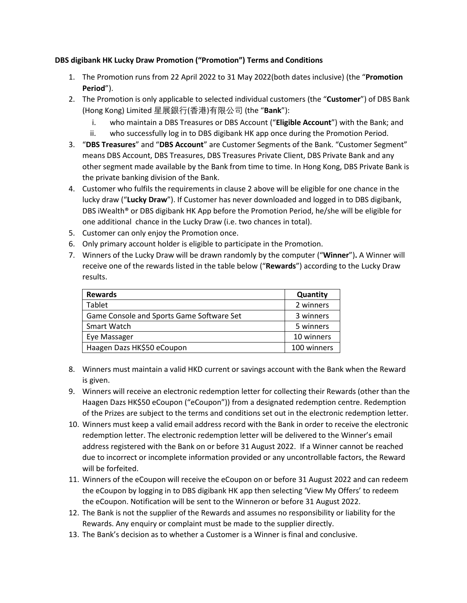## **DBS digibank HK Lucky Draw Promotion ("Promotion") Terms and Conditions**

- 1. The Promotion runs from 22 April 2022 to 31 May 2022(both dates inclusive) (the "**Promotion Period**").
- 2. The Promotion is only applicable to selected individual customers (the "**Customer**") of DBS Bank (Hong Kong) Limited 星展銀行(香港)有限公司 (the "**Bank**"):
	- i. who maintain a DBS Treasures or DBS Account ("**Eligible Account**") with the Bank; and
	- ii. who successfully log in to DBS digibank HK app once during the Promotion Period.
- 3. "**DBS Treasures**" and "**DBS Account**" are Customer Segments of the Bank. "Customer Segment" means DBS Account, DBS Treasures, DBS Treasures Private Client, DBS Private Bank and any other segment made available by the Bank from time to time. In Hong Kong, DBS Private Bank is the private banking division of the Bank.
- 4. Customer who fulfils the requirements in clause 2 above will be eligible for one chance in the lucky draw ("**Lucky Draw**"). If Customer has never downloaded and logged in to DBS digibank, DBS iWealth® or DBS digibank HK App before the Promotion Period, he/she will be eligible for one additional chance in the Lucky Draw (i.e. two chances in total).
- 5. Customer can only enjoy the Promotion once.
- 6. Only primary account holder is eligible to participate in the Promotion.
- 7. Winners of the Lucky Draw will be drawn randomly by the computer ("**Winner**")**.** A Winner will receive one of the rewards listed in the table below ("**Rewards**") according to the Lucky Draw results.

| <b>Rewards</b>                            | Quantity    |
|-------------------------------------------|-------------|
| Tablet                                    | 2 winners   |
| Game Console and Sports Game Software Set | 3 winners   |
| Smart Watch                               | 5 winners   |
| Eye Massager                              | 10 winners  |
| Haagen Dazs HK\$50 eCoupon                | 100 winners |

- 8. Winners must maintain a valid HKD current or savings account with the Bank when the Reward is given.
- 9. Winners will receive an electronic redemption letter for collecting their Rewards (other than the Haagen Dazs HK\$50 eCoupon ("eCoupon")) from a designated redemption centre. Redemption of the Prizes are subject to the terms and conditions set out in the electronic redemption letter.
- 10. Winners must keep a valid email address record with the Bank in order to receive the electronic redemption letter. The electronic redemption letter will be delivered to the Winner's email address registered with the Bank on or before 31 August 2022. If a Winner cannot be reached due to incorrect or incomplete information provided or any uncontrollable factors, the Reward will be forfeited.
- 11. Winners of the eCoupon will receive the eCoupon on or before 31 August 2022 and can redeem the eCoupon by logging in to DBS digibank HK app then selecting 'View My Offers' to redeem the eCoupon. Notification will be sent to the Winneron or before 31 August 2022.
- 12. The Bank is not the supplier of the Rewards and assumes no responsibility or liability for the Rewards. Any enquiry or complaint must be made to the supplier directly.
- 13. The Bank's decision as to whether a Customer is a Winner is final and conclusive.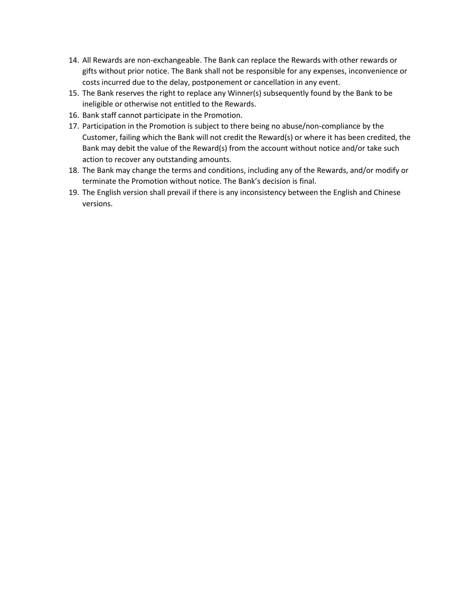- 14. All Rewards are non-exchangeable. The Bank can replace the Rewards with other rewards or gifts without prior notice. The Bank shall not be responsible for any expenses, inconvenience or costs incurred due to the delay, postponement or cancellation in any event.
- 15. The Bank reserves the right to replace any Winner(s) subsequently found by the Bank to be ineligible or otherwise not entitled to the Rewards.
- 16. Bank staff cannot participate in the Promotion.
- 17. Participation in the Promotion is subject to there being no abuse/non-compliance by the Customer, failing which the Bank will not credit the Reward(s) or where it has been credited, the Bank may debit the value of the Reward(s) from the account without notice and/or take such action to recover any outstanding amounts.
- 18. The Bank may change the terms and conditions, including any of the Rewards, and/or modify or terminate the Promotion without notice. The Bank's decision is final.
- 19. The English version shall prevail if there is any inconsistency between the English and Chinese versions.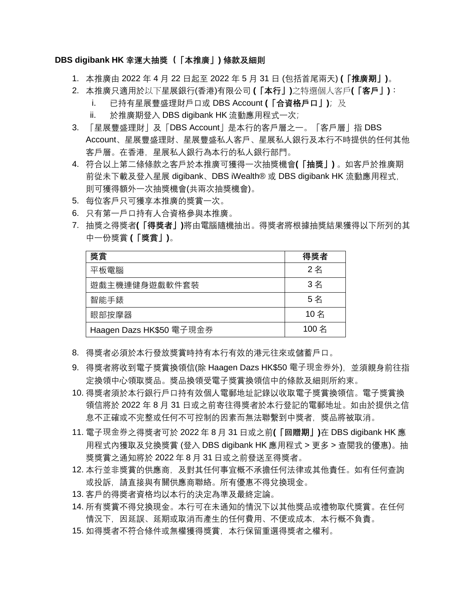## **DBS digibank HK 幸運大抽獎(「本推廣」) 條款及細則**

- 1. 本推廣由 2022 年 4 月 22 日起至 2022 年 5 月 31 日 (包括首尾兩天) **(「推廣期」)**。
- 2. 本推廣只適用於以下星展銀行(香港)有限公司 **(「本行」)**之特選個人客戶**(「客戶」)**:
	- i. 已持有星展豐盛理財戶口或 DBS Account **(「合資格戶口」)**;及
	- ii. 於推廣期登入 DBS digibank HK 流動應用程式一次;
- 3. 「星展豐盛理財」及「DBS Account」是本行的客戶層之一。「客戶層」指 DBS Account、星展豐盛理財、星展豐盛私人客戶、星展私人銀行及本行不時提供的任何其他 客戶層。在香港,星展私人銀行為本行的私人銀行部門。
- 4. 符合以上第二條條款之客戶於本推廣可獲得一次抽獎機會**(「抽獎」)** 。如客戶於推廣期 前從未下載及登入星展 digibank、DBS iWealth® 或 DBS digibank HK 流動應用程式, 則可獲得額外一次抽獎機會(共兩次抽獎機會)。
- 5. 每位客戶只可獲享本推廣的獎賞一次。
- 6. 只有第一戶口持有人合資格參與本推廣。
- 7. 抽獎之得獎者**(「得獎者」)**將由電腦隨機抽出。得獎者將根據抽獎結果獲得以下所列的其 中一份獎賞 **(「獎賞」)**。

| 獎賞                       | 得獎者   |
|--------------------------|-------|
| 平板電腦                     | 2名    |
| 遊戲主機連健身遊戲軟件套裝            | 3名    |
| 智能手錶                     | 5名    |
| 眼部按摩器                    | 10名   |
| Haagen Dazs HK\$50 電子現金券 | 100 名 |

- 8. 得獎者必須於本行發放獎賞時持有本行有效的港元往來或儲蓄戶口。
- 9. 得獎者將收到電子獎賞換領信(除 Haagen Dazs HK\$50 電子現金券外),並須親身前往指 定換領中心領取獎品。獎品換領受電子獎賞換領信中的條款及細則所約束。
- 10. 得獎者須於本行銀行戶口持有效個人電郵地址記錄以收取電子獎賞換領信。電子獎賞換 領信將於 2022 年 8 月 31 日或之前寄往得獎者於本行登記的電郵地址。如由於提供之信 息不正確或不完整或任何不可控制的因素而無法聯繫到中獎者,獎品將被取消。
- 11. 電子現金券之得獎者可於 2022 年 8 月 31 日或之前**(「回贈期」)**在 DBS digibank HK 應 用程式內獲取及兌換獎賞 (登入 DBS digibank HK 應用程式 > 更多 > 查閱我的優惠)。抽 獎獎賞之通知將於 2022 年 8 月 31 日或之前發送至得獎者。
- 12. 本行並非獎賞的供應商, 及對其任何事宜概不承擔任何法律或其他責任。如有任何查詢 或投訴,請直接與有關供應商聯絡。所有優惠不得兌換現金。
- 13. 客戶的得奬者資格均以本行的決定為準及最終定論。
- 14. 所有獎賞不得兌換現金。本行可在未通知的情況下以其他獎品或禮物取代獎賞。在任何 情況下,因延誤、延期或取消而產生的任何費用、不便或成本,本行概不負責。
- 15. 如得獎者不符合條件或無權獲得獎賞,本行保留重選得獎者之權利。